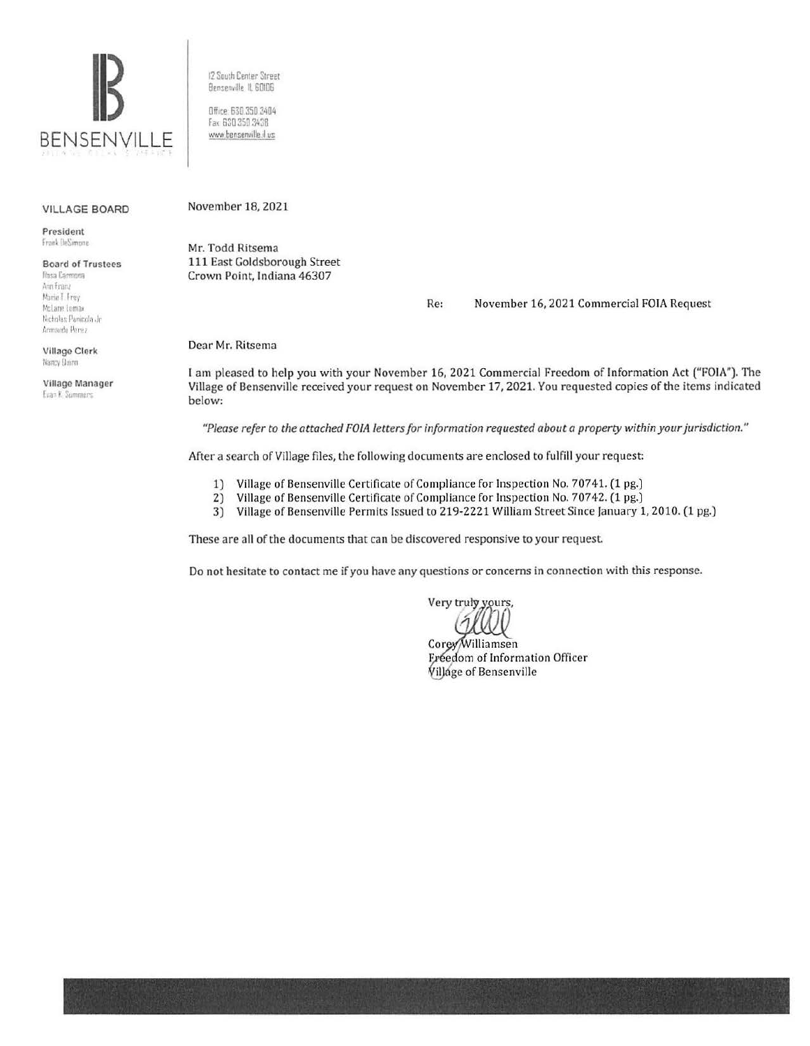

12 Sou:h Center Street Bensenville IL 60106 Dike 630 350 3404

Fax 630 350 3438 >Nww bensemille II us

#### VILLAGE BOARD

President **frank** *DeSimone* 

Board of Trustees Rosa Carmona Ann Franz Marie T. Frey McLane Lomax Nicholas Panicola Jr Armaudo Perez

Village Clerk Nancy Dairn

Village Manager Evan K. Summers

November 18,2021

Mr. Todd Ritsema 111 East Goldsborough Street Crown Point, Indiana 46307

Re: November 16,2021 Commercial FOIA Request

Dear Mr. Ritsema

I am pleased to help you with your November 16, 2021 Commercial Freedom of Information Act ("FOIA"). The Village of Bensenville received your request on November 17, 2021. You requested copies of the items indicated below:

*"Please refer to the attached FOlA letters for information requested about a property within your jurisdiction."* 

After a search of Village files, the following documents are enclosed to fulfill your request:

- 1) Village of Bensenville Certificate of Compliance for Inspection No. 70741. (1 pg.)
- 2) Village of Bensenville Certificate of Compliance for Inspection No. 70742. (1 pg.)
- 3) Village of Bensenville Permits Issued to 219-2221 William Street Since January 1, 2010. (1 pg.)

These are all of the documents that can be discovered responsive to your request.

Do not hesitate to contact me if you have any questions or concerns in connection with this response.

Very truly yours,

Corey/Williamsen Freedom of Information Officer Village of Bensenville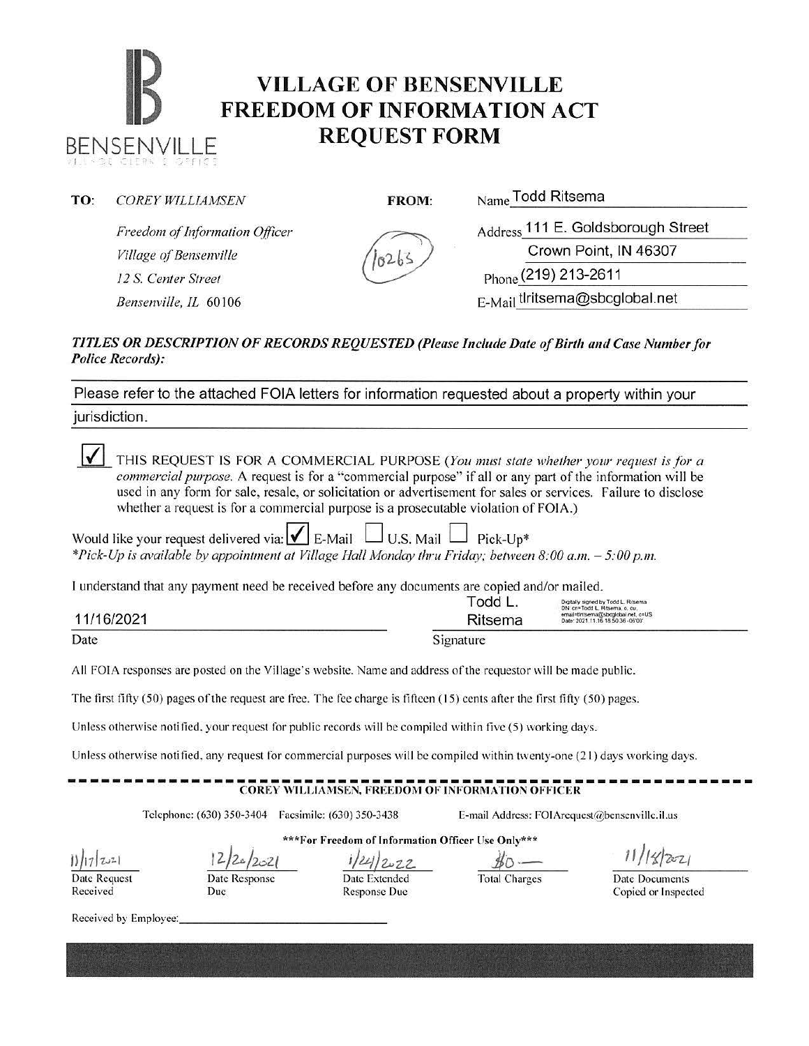# **IB VILLAGE OF BENSENVILLE**<br> **FREEDOM OF INFORMATION ACT** BENSENVILLE **REQUEST FORM**

TO: *COREY WILLIAMSEN* FROM: Name Todd Ritsema

*Village of Bensenville* 

*Freedom of Information Officer* 

**1 3 : 0 : 1 - P 1 : 0 : 5 : F | C** 



Address 111 E. Goldsborough Street

Crown Point, IN 46307

*12* S. *Center Street* Phone (219) 213-2611

*Bensenville, IL* 60106 **E-Mail tlritsema@sbcglobal.net** 

# *TITLES OR DESCRIPTION OF RECORDS REQUESTED (Please Include Date of Birth ami Case Number for Police Records):*

Please refer to the attached FOIA letters for information requested about a property within your

jurisdiction.

| THIS REQUEST IS FOR A COMMERCIAL PURPOSE (You must state whether your request is for a<br>commercial purpose. A request is for a "commercial purpose" if all or any part of the information will be<br>used in any form for sale, resale, or solicitation or advertisement for sales or services. Failure to disclose<br>whether a request is for a commercial purpose is a prosecutable violation of FOIA.) |                                                                                                                                                                                                                                                                                                                                                                                                                                                                                              |                               |                      |                                                                                                                                              |  |  |  |  |  |
|--------------------------------------------------------------------------------------------------------------------------------------------------------------------------------------------------------------------------------------------------------------------------------------------------------------------------------------------------------------------------------------------------------------|----------------------------------------------------------------------------------------------------------------------------------------------------------------------------------------------------------------------------------------------------------------------------------------------------------------------------------------------------------------------------------------------------------------------------------------------------------------------------------------------|-------------------------------|----------------------|----------------------------------------------------------------------------------------------------------------------------------------------|--|--|--|--|--|
|                                                                                                                                                                                                                                                                                                                                                                                                              | Would like your request delivered via: $\Box$ E-Mail $\Box$ U.S. Mail $\Box$<br>*Pick-Up is available by appointment at Village Hall Monday thru Friday; between 8:00 a.m. - 5:00 p.m.                                                                                                                                                                                                                                                                                                       |                               | Pick-Up*             |                                                                                                                                              |  |  |  |  |  |
| 11/16/2021                                                                                                                                                                                                                                                                                                                                                                                                   | I understand that any payment need be received before any documents are copied and/or mailed.                                                                                                                                                                                                                                                                                                                                                                                                |                               | Todd L.<br>Ritsema   | Digitally signed by Todd L. Ritsema<br>N: cn=Todd L. Ritsema, o. ou<br>ail=tintsema@sbcglobal.net, c=US<br>Date: 2021 11:16 18:50:36 -06'00' |  |  |  |  |  |
| Date                                                                                                                                                                                                                                                                                                                                                                                                         |                                                                                                                                                                                                                                                                                                                                                                                                                                                                                              |                               | Signature            |                                                                                                                                              |  |  |  |  |  |
|                                                                                                                                                                                                                                                                                                                                                                                                              | All FOIA responses are posted on the Village's website. Name and address of the requestor will be made public.<br>The first fifty $(50)$ pages of the request are free. The fee charge is fifteen $(15)$ cents after the first fifty $(50)$ pages.<br>Unless otherwise notified, your request for public records will be compiled within five (5) working days.<br>Unless otherwise notified, any request for commercial purposes will be compiled within twenty-one (21) days working days. |                               |                      |                                                                                                                                              |  |  |  |  |  |
| <b>COREY WILLIAMSEN, FREEDOM OF INFORMATION OFFICER</b>                                                                                                                                                                                                                                                                                                                                                      |                                                                                                                                                                                                                                                                                                                                                                                                                                                                                              |                               |                      |                                                                                                                                              |  |  |  |  |  |
| Telephone: (630) 350-3404                                                                                                                                                                                                                                                                                                                                                                                    | E-mail Address: FOIArequest@bensenville.il.us                                                                                                                                                                                                                                                                                                                                                                                                                                                |                               |                      |                                                                                                                                              |  |  |  |  |  |
| *** For Freedom of Information Officer Use Only***                                                                                                                                                                                                                                                                                                                                                           |                                                                                                                                                                                                                                                                                                                                                                                                                                                                                              |                               |                      |                                                                                                                                              |  |  |  |  |  |
|                                                                                                                                                                                                                                                                                                                                                                                                              |                                                                                                                                                                                                                                                                                                                                                                                                                                                                                              | 24/2022                       |                      | 11/14/202                                                                                                                                    |  |  |  |  |  |
| Date Request<br>Received                                                                                                                                                                                                                                                                                                                                                                                     | Date Response<br>Duc                                                                                                                                                                                                                                                                                                                                                                                                                                                                         | Date Extended<br>Response Due | <b>Total Charges</b> | Date Documents<br>Copied or Inspected                                                                                                        |  |  |  |  |  |
| Received by Employee:                                                                                                                                                                                                                                                                                                                                                                                        |                                                                                                                                                                                                                                                                                                                                                                                                                                                                                              |                               |                      |                                                                                                                                              |  |  |  |  |  |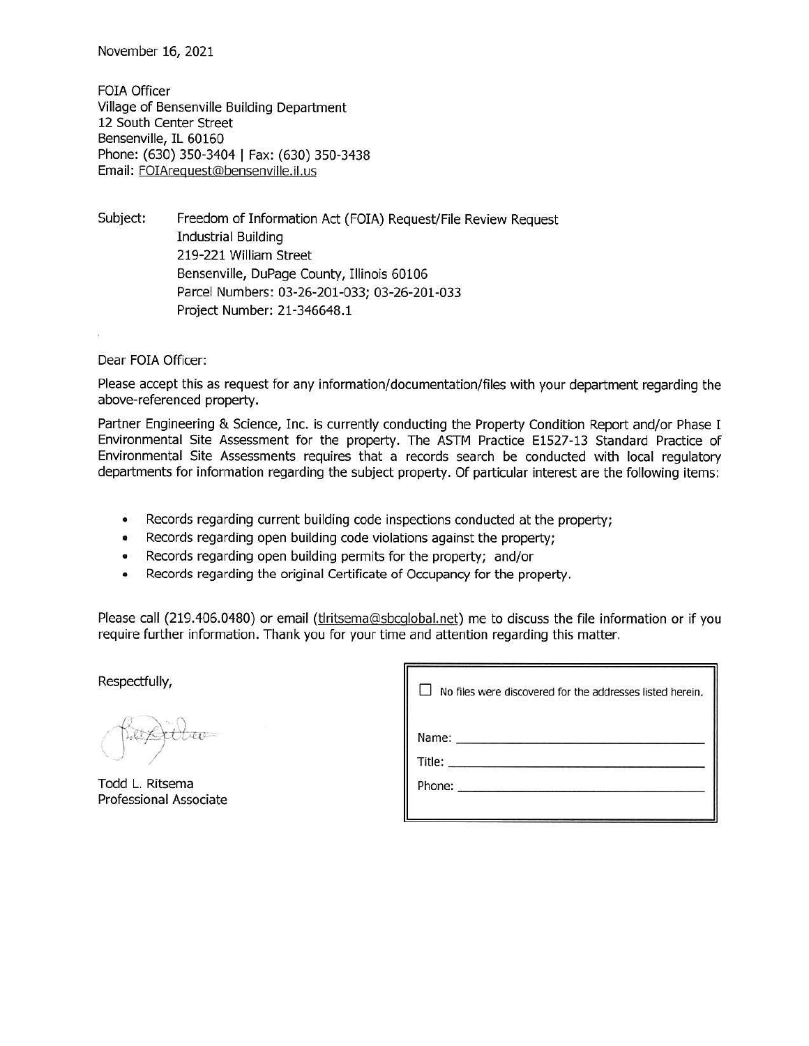November 16, 2021

FOIA Officer Village of Bensenville Building Department 12 South Center Street Bensenville, IL 60160 Phone: (630) 350-3404 1 Fax: (630) 350-3438 Email: FOIArequest@bensenville. il. us

Subject: Freedom of Information Act (FOIA) Request/File Review Request Industrial Building 219-221 William Street Bensenville, DuPage County, Illinois 60106 Parcel Numbers: 03-26-201-033; 03-26-201-033 Project Number: 21-346648.1

Dear FOIA Officer:

Please accept this as request for any information/documentation/files with your department regarding the above-referenced property.

Partner Engineering & Science, Inc. is currently conducting the Property Condition Report and/or Phase I Environmental Site Assessment for the property. The ASTM Practice E1527-13 Standard Practice of Environmental Site Assessments requires that a records search be conducted with local regulatory departments for information regarding the subject property. Of particular interest are the following items:

- Records regarding current building code inspections conducted at the property;
- Records regarding open building code violations against the property;
- Records regarding open building permits for the property; and/or
- Records regarding the original Certificate of Occupancy for the property.

Please call (219.406.0480) or email (tlritsema@sbcglobal.net) me to discuss the file information or if you require further information. Thank you for your time and attention regarding this matter.

Respectfully,

 $415 -$ 

Todd L. Ritsema Professional Associate

| $\Box$ No files were discovered for the addresses listed herein.                                                                                                                                                              |
|-------------------------------------------------------------------------------------------------------------------------------------------------------------------------------------------------------------------------------|
| Name: _______________                                                                                                                                                                                                         |
|                                                                                                                                                                                                                               |
| the company of the company of the company of the company of the company of the company of the company of the company of the company of the company of the company of the company of the company of the company of the company |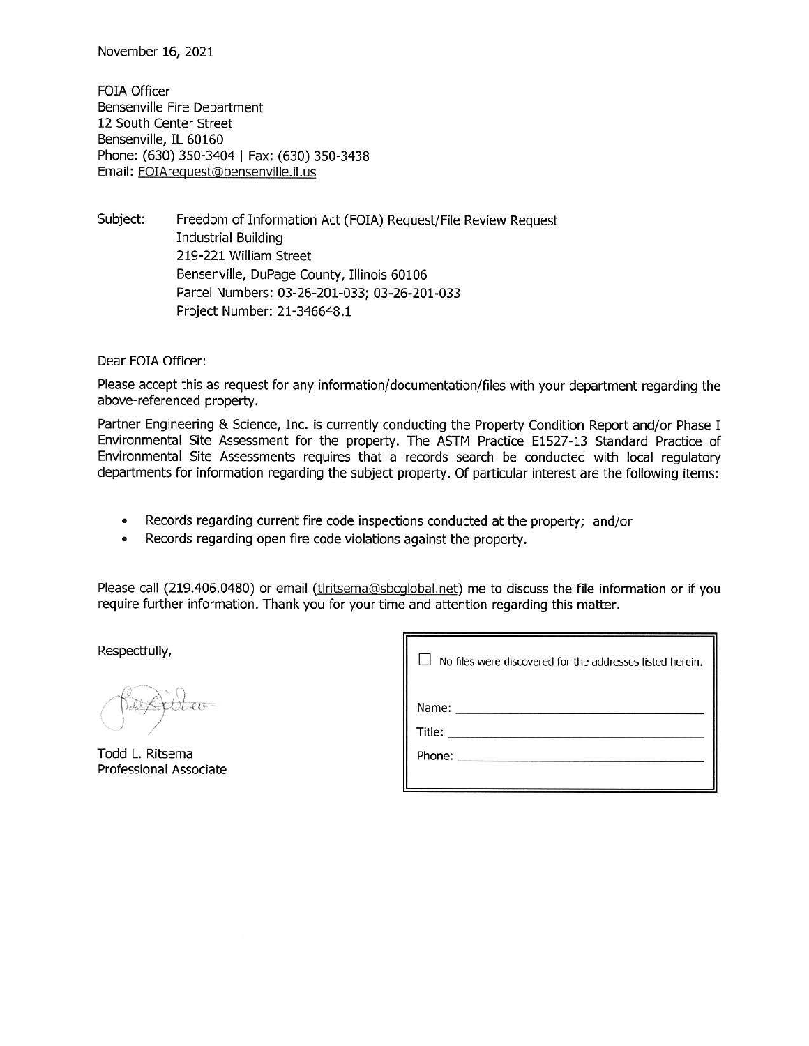November 16, 2021

FOIA Officer Bensenville Fire Department 12 South Center Street Bensenville, IL 60160 Phone: (630) 350-3404 1 Fax: (630) 350-3438 Email: FOIAreguest@bensenville.il. us

Subject: Freedom of Information Act (FOIA) Request/File Review Request Industrial Building 219-221 William Street Bensenville, DuPage County, Illinois 60106 Parcel Numbers: 03-26-201-033; 03-26-201-033 Project Number: 21-346648.1

Dear FOIA Officer:

Please accept this as request for any information/documentation/files with your department regarding the above-referenced property.

Partner Engineering & Science, Inc. is currently conducting the Property Condition Report and/or Phase I Environmental Site Assessment for the property. The ASTM Practice E1527-13 Standard Practice of Environmental Site Assessments requires that a records search be conducted with local regulatory departments for information regarding the subject property. Of particular interest are the following items:

- Records regarding current fire code inspections conducted at the property; and/or
- Records regarding open fire code violations against the property.

Please call (219.406.0480) or email (tlritsema@sbcglobal.net) me to discuss the file information or if you require further information. Thank you for your time and attention regarding this matter.

Respectfully,

 $\sigma_{1}$ :

Todd L. Ritsema Professional Associate

|                  | $\Box$ No files were discovered for the addresses listed herein. |  |
|------------------|------------------------------------------------------------------|--|
| Name:            |                                                                  |  |
| Title:<br>Phone: |                                                                  |  |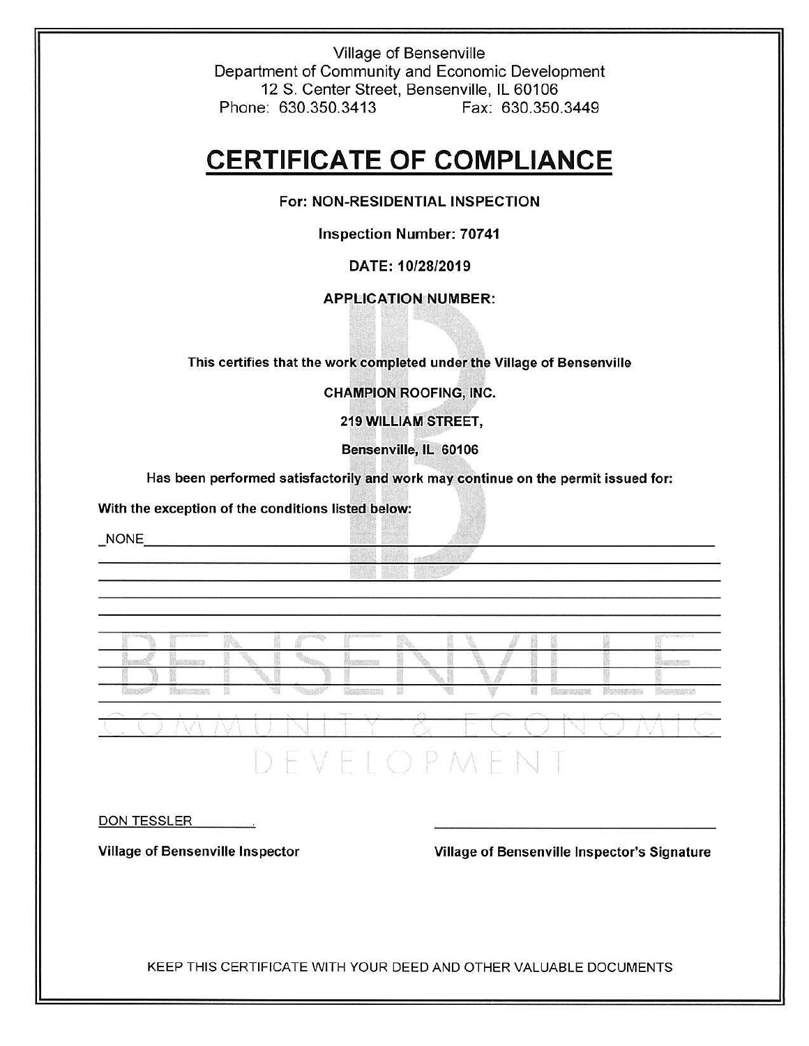Village of Bensenville Department of Community and Economic Development 12 S. Center Street, Bensenville, IL 60106 Phone: 630.350.3413 Fax: 630.350.3449

# **CERTIFICATE OF COMPLIANCE**

# For: NON-RESIDENTIAL INSPECTION

Inspection Number: 70741

DATE: 10/28/2019

# APPLICATION NUMBER:

This certifies that the work completed under the Village of Bensenville

CHAMPION ROOFING, INC.

219 WILliAM STREET,

Bensenville, IL 60106

Has been performed satisfactorily and work may continue on the permit issued for:

**WRO WIND ... ... AND ...** 

With the exception of the conditions listed below:

 $$ 

M Л DEVELOPMEN

### DON TESSLER

Village of Bensenville Inspector Village of Bensenville Inspector's Signature

KEEP THIS CERTIFICATE WITH YOUR DEED AND OTHER VALUABLE DOCUMENTS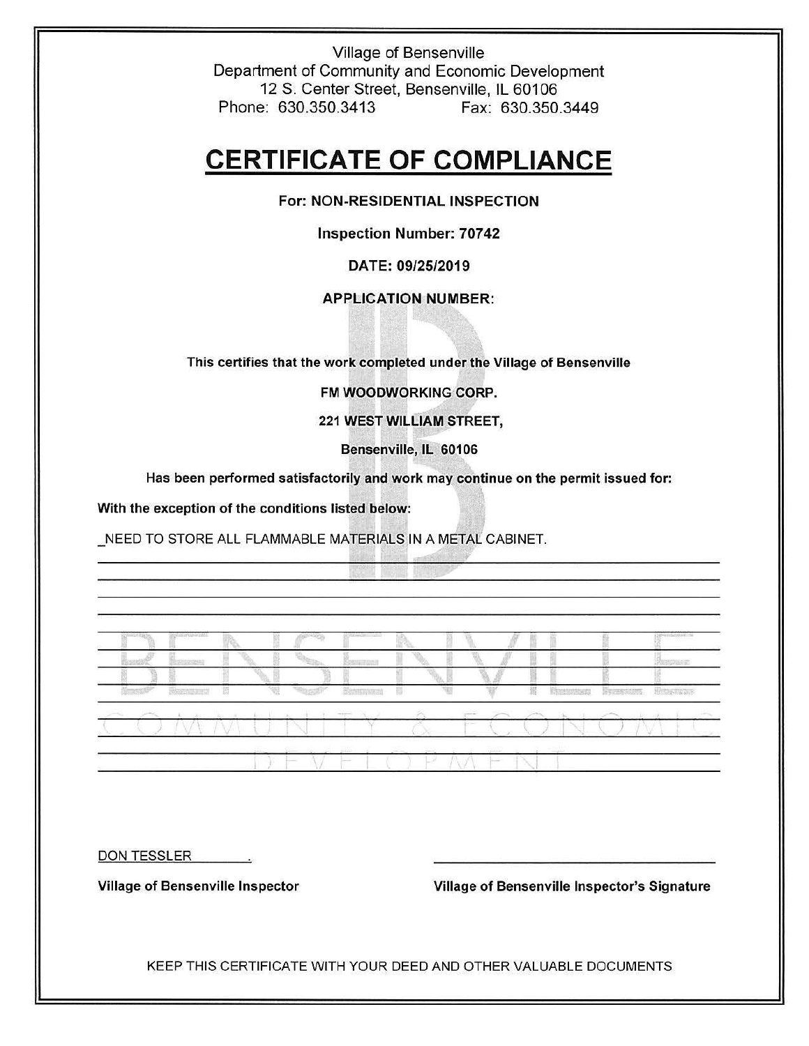Village of Bensenville Department of Community and Economic Development 12 S. Center Street, Bensenville, IL 60106 Phone: 630.350.3413 Fax: 630.350.3449

# **CERTIFICATE OF COMPLIANCE**

# For: NON-RESIDENTIAL INSPECTION

Inspection Number: 70742

DATE: 09/25/2019

# APPLICATION NUMBER:

This certifies that the work completed under the Village of Bensenville

FM WOODWORKING CORP.

### 221 WEST WILLIAM STREET,

Bensenville, IL 60106

Has been performed satisfactorily and work may continue on the permit issued for:

With the exception of the conditions listed below:

\_NEED TO STORE ALL FLAMMABLE MATERIALS IN A METAL CABINET.

Ρ  $\Lambda\Lambda$ i-1 X 1

DON TESSLER

Village of Bensenville Inspector Village of Bensenville Inspector's Signature

KEEP THIS CERTIFICATE WITH YOUR DEED AND OTHER VALUABLE DOCUMENTS